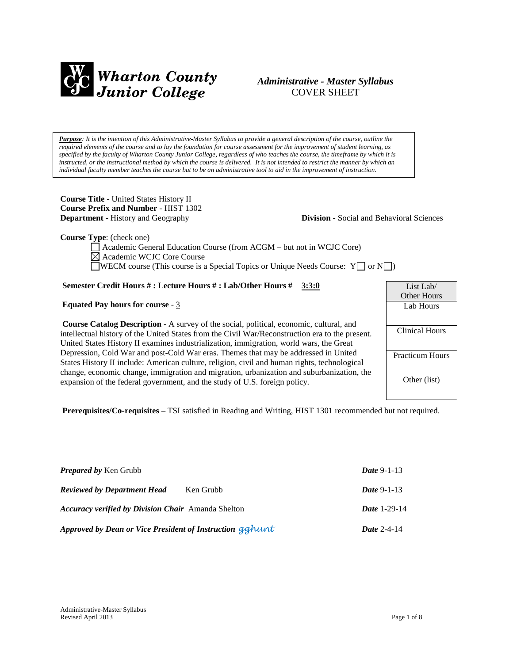

# *Administrative - Master Syllabus*  COVER SHEET

*Purpose: It is the intention of this Administrative-Master Syllabus to provide a general description of the course, outline the required elements of the course and to lay the foundation for course assessment for the improvement of student learning, as specified by the faculty of Wharton County Junior College, regardless of who teaches the course, the timeframe by which it is instructed, or the instructional method by which the course is delivered. It is not intended to restrict the manner by which an individual faculty member teaches the course but to be an administrative tool to aid in the improvement of instruction.*

**Course Title** - United States History II **Course Prefix and Number** - HIST 1302 **Department** - History and Geography **Division** - Social and Behavioral Sciences

**Course Type**: (check one)

Academic General Education Course (from ACGM – but not in WCJC Core) Academic WCJC Core Course WECM course (This course is a Special Topics or Unique Needs Course:  $Y \cup \sigma N \cup$ )

# **Semester Credit Hours # : Lecture Hours # : Lab/Other Hours # 3:3:0**

## **Equated Pay hours for course** - 3

**Course Catalog Description** - A survey of the social, political, economic, cultural, and intellectual history of the United States from the Civil War/Reconstruction era to the present. United States History II examines industrialization, immigration, world wars, the Great Depression, Cold War and post-Cold War eras. Themes that may be addressed in United States History II include: American culture, religion, civil and human rights, technological change, economic change, immigration and migration, urbanization and suburbanization, the expansion of the federal government, and the study of U.S. foreign policy.

List Lab/ Other Hours Lab Hours Clinical Hours Practicum Hours Other (list)

**Prerequisites/Co-requisites** – TSI satisfied in Reading and Writing, HIST 1301 recommended but not required.

| <b>Prepared by Ken Grubb</b>                              |           | <i>Date</i> 9-1-13  |
|-----------------------------------------------------------|-----------|---------------------|
| <b>Reviewed by Department Head</b>                        | Ken Grubb | <i>Date</i> 9-1-13  |
| <b>Accuracy verified by Division Chair</b> Amanda Shelton |           | <b>Date 1-29-14</b> |
| Approved by Dean or Vice President of Instruction gghunt  |           | Date $2-4-14$       |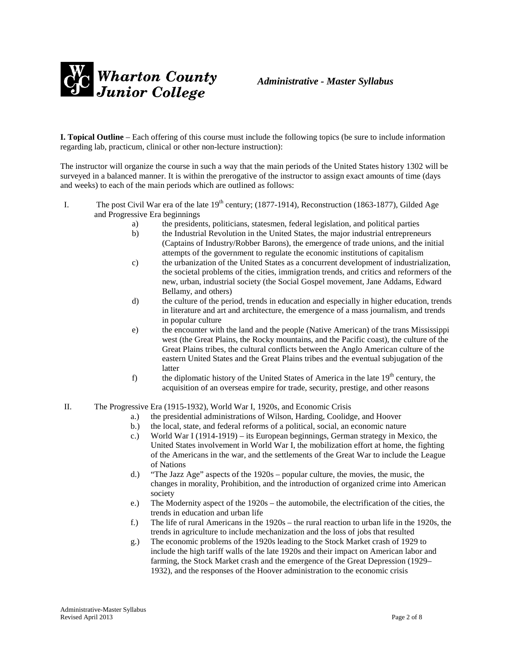

**I. Topical Outline** – Each offering of this course must include the following topics (be sure to include information regarding lab, practicum, clinical or other non-lecture instruction):

The instructor will organize the course in such a way that the main periods of the United States history 1302 will be surveyed in a balanced manner. It is within the prerogative of the instructor to assign exact amounts of time (days and weeks) to each of the main periods which are outlined as follows:

- I. The post Civil War era of the late  $19<sup>th</sup>$  century; (1877-1914), Reconstruction (1863-1877), Gilded Age and Progressive Era beginnings
	- a) the presidents, politicians, statesmen, federal legislation, and political parties
	- b) the Industrial Revolution in the United States, the major industrial entrepreneurs (Captains of Industry/Robber Barons), the emergence of trade unions, and the initial attempts of the government to regulate the economic institutions of capitalism
	- c) the urbanization of the United States as a concurrent development of industrialization, the societal problems of the cities, immigration trends, and critics and reformers of the new, urban, industrial society (the Social Gospel movement, Jane Addams, Edward Bellamy, and others)
	- d) the culture of the period, trends in education and especially in higher education, trends in literature and art and architecture, the emergence of a mass journalism, and trends in popular culture
	- e) the encounter with the land and the people (Native American) of the trans Mississippi west (the Great Plains, the Rocky mountains, and the Pacific coast), the culture of the Great Plains tribes, the cultural conflicts between the Anglo American culture of the eastern United States and the Great Plains tribes and the eventual subjugation of the latter
	- f) the diplomatic history of the United States of America in the late  $19<sup>th</sup>$  century, the acquisition of an overseas empire for trade, security, prestige, and other reasons
- II. The Progressive Era (1915-1932), World War I, 1920s, and Economic Crisis
	- a.) the presidential administrations of Wilson, Harding, Coolidge, and Hoover
	- b.) the local, state, and federal reforms of a political, social, an economic nature
	- c.) World War I (1914-1919) its European beginnings, German strategy in Mexico, the United States involvement in World War I, the mobilization effort at home, the fighting of the Americans in the war, and the settlements of the Great War to include the League of Nations
	- d.) "The Jazz Age" aspects of the 1920s popular culture, the movies, the music, the changes in morality, Prohibition, and the introduction of organized crime into American society
	- e.) The Modernity aspect of the 1920s the automobile, the electrification of the cities, the trends in education and urban life
	- f.) The life of rural Americans in the 1920s the rural reaction to urban life in the 1920s, the trends in agriculture to include mechanization and the loss of jobs that resulted
	- g.) The economic problems of the 1920s leading to the Stock Market crash of 1929 to include the high tariff walls of the late 1920s and their impact on American labor and farming, the Stock Market crash and the emergence of the Great Depression (1929– 1932), and the responses of the Hoover administration to the economic crisis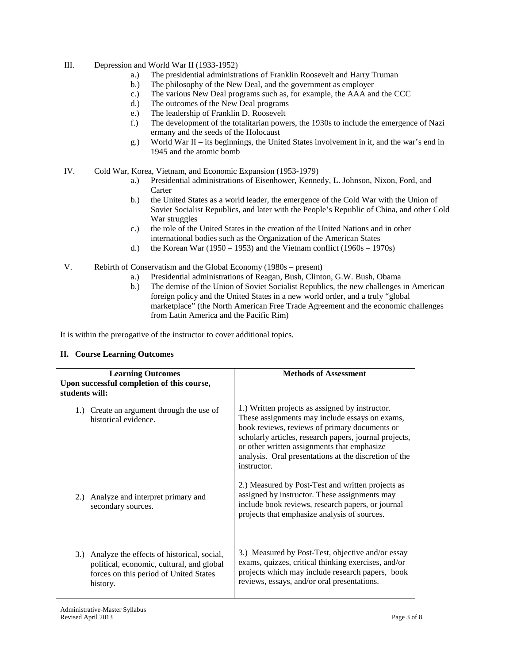- III. Depression and World War II (1933-1952)
	- a.) The presidential administrations of Franklin Roosevelt and Harry Truman
	- b.) The philosophy of the New Deal, and the government as employer
	- c.) The various New Deal programs such as, for example, the AAA and the CCC
	- d.) The outcomes of the New Deal programs
	- e.) The leadership of Franklin D. Roosevelt
	- f.) The development of the totalitarian powers, the 1930s to include the emergence of Nazi ermany and the seeds of the Holocaust
	- g.) World War II its beginnings, the United States involvement in it, and the war's end in 1945 and the atomic bomb
- IV. Cold War, Korea, Vietnam, and Economic Expansion (1953-1979)
	- a.) Presidential administrations of Eisenhower, Kennedy, L. Johnson, Nixon, Ford, and **Carter**
	- b.) the United States as a world leader, the emergence of the Cold War with the Union of Soviet Socialist Republics, and later with the People's Republic of China, and other Cold War struggles
	- c.) the role of the United States in the creation of the United Nations and in other international bodies such as the Organization of the American States
	- d.) the Korean War (1950 1953) and the Vietnam conflict (1960s 1970s)
- V. Rebirth of Conservatism and the Global Economy (1980s present)
	- a.) Presidential administrations of Reagan, Bush, Clinton, G.W. Bush, Obama
	- b.) The demise of the Union of Soviet Socialist Republics, the new challenges in American foreign policy and the United States in a new world order, and a truly "global marketplace" (the North American Free Trade Agreement and the economic challenges from Latin America and the Pacific Rim)

It is within the prerogative of the instructor to cover additional topics.

# **II. Course Learning Outcomes**

| <b>Learning Outcomes</b><br>Upon successful completion of this course,<br>students will:                                                          | <b>Methods of Assessment</b>                                                                                                                                                                                                                                                                                                        |
|---------------------------------------------------------------------------------------------------------------------------------------------------|-------------------------------------------------------------------------------------------------------------------------------------------------------------------------------------------------------------------------------------------------------------------------------------------------------------------------------------|
| 1.) Create an argument through the use of<br>historical evidence.                                                                                 | 1.) Written projects as assigned by instructor.<br>These assignments may include essays on exams,<br>book reviews, reviews of primary documents or<br>scholarly articles, research papers, journal projects,<br>or other written assignments that emphasize<br>analysis. Oral presentations at the discretion of the<br>instructor. |
| 2.) Analyze and interpret primary and<br>secondary sources.                                                                                       | 2.) Measured by Post-Test and written projects as<br>assigned by instructor. These assignments may<br>include book reviews, research papers, or journal<br>projects that emphasize analysis of sources.                                                                                                                             |
| 3.) Analyze the effects of historical, social,<br>political, economic, cultural, and global<br>forces on this period of United States<br>history. | 3.) Measured by Post-Test, objective and/or essay<br>exams, quizzes, critical thinking exercises, and/or<br>projects which may include research papers, book<br>reviews, essays, and/or oral presentations.                                                                                                                         |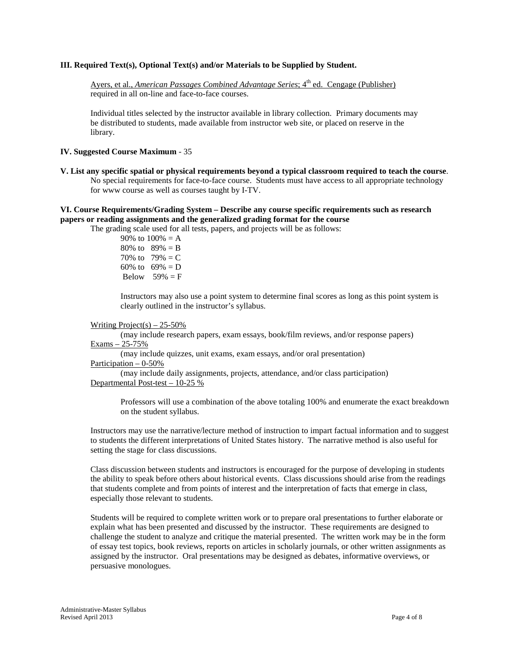## **III. Required Text(s), Optional Text(s) and/or Materials to be Supplied by Student.**

Ayers, et al., *American Passages Combined Advantage Series*; 4<sup>th</sup> ed. Cengage (Publisher) required in all on-line and face-to-face courses.

Individual titles selected by the instructor available in library collection. Primary documents may be distributed to students, made available from instructor web site, or placed on reserve in the library.

### **IV. Suggested Course Maximum** - 35

**V. List any specific spatial or physical requirements beyond a typical classroom required to teach the course**. No special requirements for face-to-face course. Students must have access to all appropriate technology for www course as well as courses taught by I-TV.

## **VI. Course Requirements/Grading System – Describe any course specific requirements such as research papers or reading assignments and the generalized grading format for the course**

The grading scale used for all tests, papers, and projects will be as follows:

90% to  $100% = A$ 80% to  $89% = B$ 70% to  $79% = C$ 60% to  $69\% = D$ Below  $59\% = F$ 

Instructors may also use a point system to determine final scores as long as this point system is clearly outlined in the instructor's syllabus.

#### Writing Project(s)  $-25-50\%$

(may include research papers, exam essays, book/film reviews, and/or response papers) Exams – 25-75%

(may include quizzes, unit exams, exam essays, and/or oral presentation) Participation – 0-50%

(may include daily assignments, projects, attendance, and/or class participation) Departmental Post-test – 10-25 %

Professors will use a combination of the above totaling 100% and enumerate the exact breakdown on the student syllabus.

Instructors may use the narrative/lecture method of instruction to impart factual information and to suggest to students the different interpretations of United States history. The narrative method is also useful for setting the stage for class discussions.

Class discussion between students and instructors is encouraged for the purpose of developing in students the ability to speak before others about historical events. Class discussions should arise from the readings that students complete and from points of interest and the interpretation of facts that emerge in class, especially those relevant to students.

Students will be required to complete written work or to prepare oral presentations to further elaborate or explain what has been presented and discussed by the instructor. These requirements are designed to challenge the student to analyze and critique the material presented. The written work may be in the form of essay test topics, book reviews, reports on articles in scholarly journals, or other written assignments as assigned by the instructor. Oral presentations may be designed as debates, informative overviews, or persuasive monologues.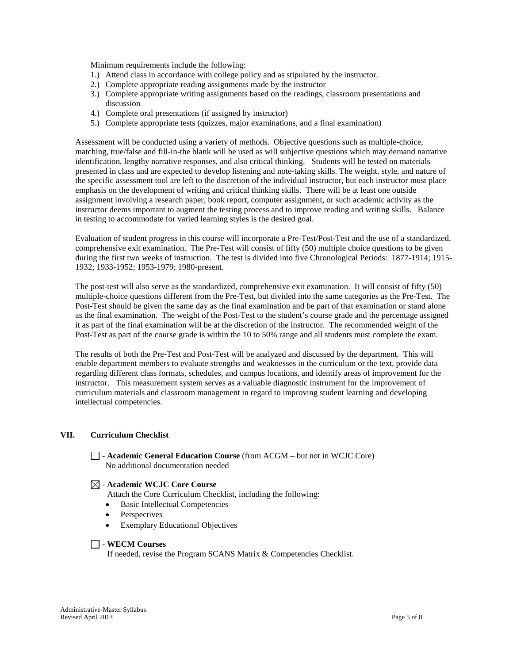Minimum requirements include the following:

- 1.) Attend class in accordance with college policy and as stipulated by the instructor.
- 2.) Complete appropriate reading assignments made by the instructor
- 3.) Complete appropriate writing assignments based on the readings, classroom presentations and discussion
- 4.) Complete oral presentations (if assigned by instructor)
- 5.) Complete appropriate tests (quizzes, major examinations, and a final examination)

Assessment will be conducted using a variety of methods. Objective questions such as multiple-choice, matching, true/false and fill-in-the blank will be used as will subjective questions which may demand narrative identification, lengthy narrative responses, and also critical thinking. Students will be tested on materials presented in class and are expected to develop listening and note-taking skills. The weight, style, and nature of the specific assessment tool are left to the discretion of the individual instructor, but each instructor must place emphasis on the development of writing and critical thinking skills. There will be at least one outside assignment involving a research paper, book report, computer assignment, or such academic activity as the instructor deems important to augment the testing process and to improve reading and writing skills. Balance in testing to accommodate for varied learning styles is the desired goal.

Evaluation of student progress in this course will incorporate a Pre-Test/Post-Test and the use of a standardized, comprehensive exit examination. The Pre-Test will consist of fifty (50) multiple choice questions to be given during the first two weeks of instruction. The test is divided into five Chronological Periods: 1877-1914; 1915- 1932; 1933-1952; 1953-1979; 1980-present.

The post-test will also serve as the standardized, comprehensive exit examination. It will consist of fifty (50) multiple-choice questions different from the Pre-Test, but divided into the same categories as the Pre-Test. The Post-Test should be given the same day as the final examination and be part of that examination or stand alone as the final examination. The weight of the Post-Test to the student's course grade and the percentage assigned it as part of the final examination will be at the discretion of the instructor. The recommended weight of the Post-Test as part of the course grade is within the 10 to 50% range and all students must complete the exam.

The results of both the Pre-Test and Post-Test will be analyzed and discussed by the department. This will enable department members to evaluate strengths and weaknesses in the curriculum or the text, provide data regarding different class formats, schedules, and campus locations, and identify areas of improvement for the instructor. This measurement system serves as a valuable diagnostic instrument for the improvement of curriculum materials and classroom management in regard to improving student learning and developing intellectual competencies.

# **VII. Curriculum Checklist**

- **Academic General Education Course** (from ACGM – but not in WCJC Core) No additional documentation needed

### - **Academic WCJC Core Course**

Attach the Core Curriculum Checklist, including the following:

- Basic Intellectual Competencies
- **Perspectives**
- **Exemplary Educational Objectives**

### - **WECM Courses**

If needed, revise the Program SCANS Matrix & Competencies Checklist.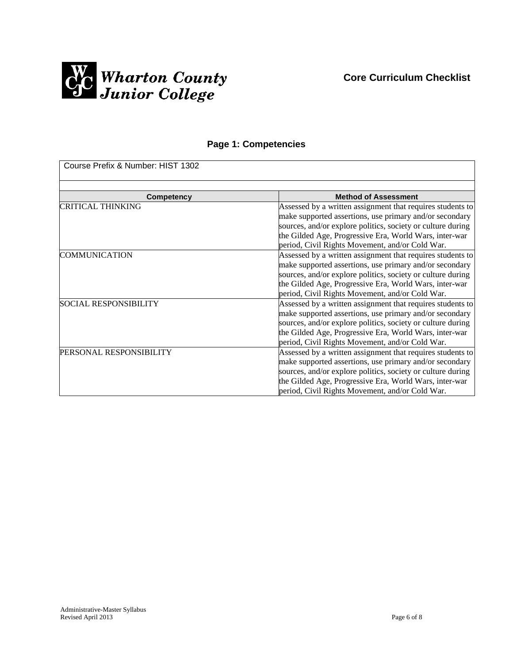

# **Page 1: Competencies**

| Course Prefix & Number: HIST 1302 |                                                             |
|-----------------------------------|-------------------------------------------------------------|
|                                   |                                                             |
| <b>Competency</b>                 | <b>Method of Assessment</b>                                 |
| CRITICAL THINKING                 | Assessed by a written assignment that requires students to  |
|                                   | make supported assertions, use primary and/or secondary     |
|                                   | sources, and/or explore politics, society or culture during |
|                                   | the Gilded Age, Progressive Era, World Wars, inter-war      |
|                                   | period, Civil Rights Movement, and/or Cold War.             |
| <b>COMMUNICATION</b>              | Assessed by a written assignment that requires students to  |
|                                   | make supported assertions, use primary and/or secondary     |
|                                   | sources, and/or explore politics, society or culture during |
|                                   | the Gilded Age, Progressive Era, World Wars, inter-war      |
|                                   | period, Civil Rights Movement, and/or Cold War.             |
| <b>SOCIAL RESPONSIBILITY</b>      | Assessed by a written assignment that requires students to  |
|                                   | make supported assertions, use primary and/or secondary     |
|                                   | sources, and/or explore politics, society or culture during |
|                                   | the Gilded Age, Progressive Era, World Wars, inter-war      |
|                                   | period, Civil Rights Movement, and/or Cold War.             |
| PERSONAL RESPONSIBILITY           | Assessed by a written assignment that requires students to  |
|                                   | make supported assertions, use primary and/or secondary     |
|                                   | sources, and/or explore politics, society or culture during |
|                                   | the Gilded Age, Progressive Era, World Wars, inter-war      |
|                                   | period, Civil Rights Movement, and/or Cold War.             |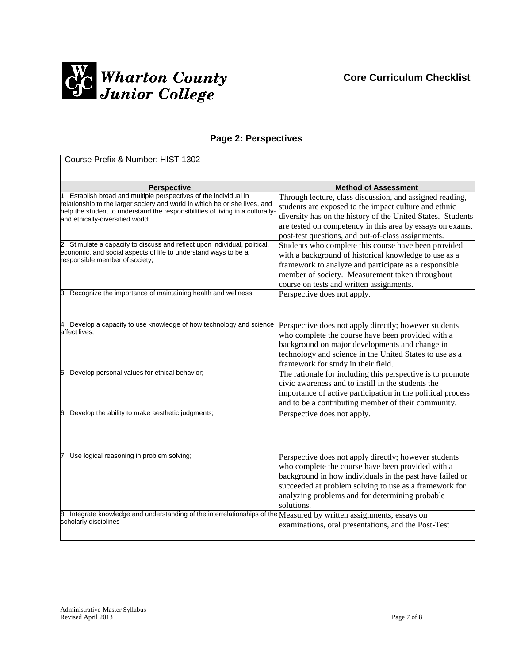

# **Page 2: Perspectives**

| Course Prefix & Number: HIST 1302                                                                                                                                                                                                                                     |                                                                                                                                                                                                                                                                                                     |  |  |
|-----------------------------------------------------------------------------------------------------------------------------------------------------------------------------------------------------------------------------------------------------------------------|-----------------------------------------------------------------------------------------------------------------------------------------------------------------------------------------------------------------------------------------------------------------------------------------------------|--|--|
|                                                                                                                                                                                                                                                                       |                                                                                                                                                                                                                                                                                                     |  |  |
| <b>Perspective</b>                                                                                                                                                                                                                                                    | <b>Method of Assessment</b>                                                                                                                                                                                                                                                                         |  |  |
| 1. Establish broad and multiple perspectives of the individual in<br>relationship to the larger society and world in which he or she lives, and<br>help the student to understand the responsibilities of living in a culturally-<br>and ethically-diversified world; | Through lecture, class discussion, and assigned reading,<br>students are exposed to the impact culture and ethnic<br>diversity has on the history of the United States. Students<br>are tested on competency in this area by essays on exams,<br>post-test questions, and out-of-class assignments. |  |  |
| 2. Stimulate a capacity to discuss and reflect upon individual, political,<br>economic, and social aspects of life to understand ways to be a<br>responsible member of society;                                                                                       | Students who complete this course have been provided<br>with a background of historical knowledge to use as a<br>framework to analyze and participate as a responsible<br>member of society. Measurement taken throughout<br>course on tests and written assignments.                               |  |  |
| 3. Recognize the importance of maintaining health and wellness;                                                                                                                                                                                                       | Perspective does not apply.                                                                                                                                                                                                                                                                         |  |  |
| 4. Develop a capacity to use knowledge of how technology and science<br>affect lives;                                                                                                                                                                                 | Perspective does not apply directly; however students<br>who complete the course have been provided with a<br>background on major developments and change in<br>technology and science in the United States to use as a<br>framework for study in their field.                                      |  |  |
| 5. Develop personal values for ethical behavior;                                                                                                                                                                                                                      | The rationale for including this perspective is to promote<br>civic awareness and to instill in the students the<br>importance of active participation in the political process<br>and to be a contributing member of their community.                                                              |  |  |
| 6. Develop the ability to make aesthetic judgments;                                                                                                                                                                                                                   | Perspective does not apply.                                                                                                                                                                                                                                                                         |  |  |
| 7. Use logical reasoning in problem solving;                                                                                                                                                                                                                          | Perspective does not apply directly; however students<br>who complete the course have been provided with a<br>background in how individuals in the past have failed or<br>succeeded at problem solving to use as a framework for<br>analyzing problems and for determining probable<br>solutions.   |  |  |
| 8. Integrate knowledge and understanding of the interrelationships of the Measured by written assignments, essays on<br>scholarly disciplines                                                                                                                         | examinations, oral presentations, and the Post-Test                                                                                                                                                                                                                                                 |  |  |